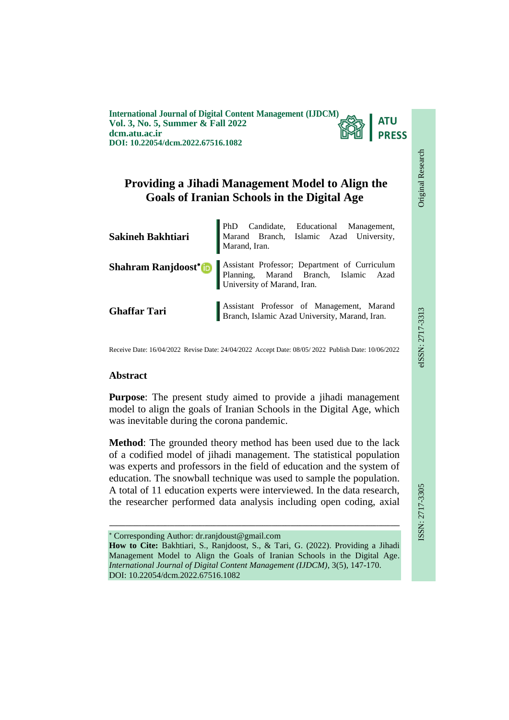**International Journal of Digital Content Management (IJDCM) Vol. 3, No. 5, Summer & Fall 2022 dcm.atu.ac.ir DOI: 10.22054/dcm.2022.67516.1082**



Original Research

Original Research

**EIEE-717-3313** 

# **Providing a Jihadi Management Model to Align the Goals of Iranian Schools in the Digital Age**

| Sakineh Bakhtiari   | PhD Candidate, Educational Management,<br>Marand Branch, Islamic Azad University,<br>Marand, Iran.                                           |
|---------------------|----------------------------------------------------------------------------------------------------------------------------------------------|
|                     | Shahram Ranjdoost* D   Assistant Professor; Department of Curriculum<br>Planning, Marand Branch, Islamic Azad<br>University of Marand, Iran. |
| <b>Ghaffar Tari</b> | Assistant Professor of Management, Marand Branch, Islamic Azad University, Marand, Iran.                                                     |

Receive Date: 16/04/2022 Revise Date: 24/04/2022 Accept Date: 08/05/ 2022 Publish Date: 10/06/2022

## **Abstract**

**Purpose**: The present study aimed to provide a jihadi management model to align the goals of Iranian Schools in the Digital Age, which was inevitable during the corona pandemic.

**Method**: The grounded theory method has been used due to the lack of a codified model of jihadi management. The statistical population was experts and professors in the field of education and the system of education. The snowball technique was used to sample the population. A total of 11 education experts were interviewed. In the data research, the researcher performed data analysis including open coding, axial

 Corresponding Author: dr.ranjdoust@gmail.com **How to Cite:** Bakhtiari, S., Ranjdoost, S., & Tari, G. (2022). Providing a Jihadi Management Model to Align the Goals of Iranian Schools in the Digital Age. *International Journal of Digital Content Management (IJDCM)*, 3(5), 147-170. DOI: 10.22054/dcm.2022.67516.1082

ـــــــــــــــــــــــــــــــــــــــــــــــــــــــــــــــــــــــــــــــــــــــــــــــــــــــــــــــــــــــــــــ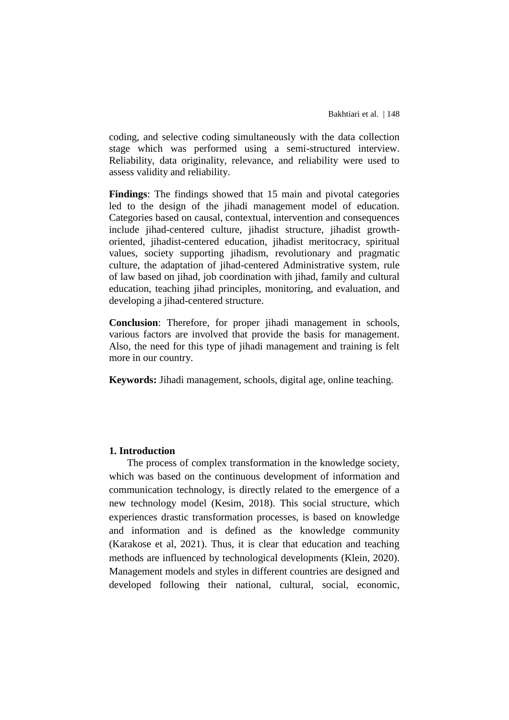coding, and selective coding simultaneously with the data collection stage which was performed using a semi-structured interview. Reliability, data originality, relevance, and reliability were used to assess validity and reliability.

**Findings**: The findings showed that 15 main and pivotal categories led to the design of the jihadi management model of education. Categories based on causal, contextual, intervention and consequences include jihad-centered culture, jihadist structure, jihadist growthoriented, jihadist-centered education, jihadist meritocracy, spiritual values, society supporting jihadism, revolutionary and pragmatic culture, the adaptation of jihad-centered Administrative system, rule of law based on jihad, job coordination with jihad, family and cultural education, teaching jihad principles, monitoring, and evaluation, and developing a jihad-centered structure.

**Conclusion**: Therefore, for proper jihadi management in schools, various factors are involved that provide the basis for management. Also, the need for this type of jihadi management and training is felt more in our country.

**Keywords:** Jihadi management, schools, digital age, online teaching.

#### **1. Introduction**

The process of complex transformation in the knowledge society, which was based on the continuous development of information and communication technology, is directly related to the emergence of a new technology model (Kesim, 2018). This social structure, which experiences drastic transformation processes, is based on knowledge and information and is defined as the knowledge community (Karakose et al, 2021). Thus, it is clear that education and teaching methods are influenced by technological developments (Klein, 2020). Management models and styles in different countries are designed and developed following their national, cultural, social, economic,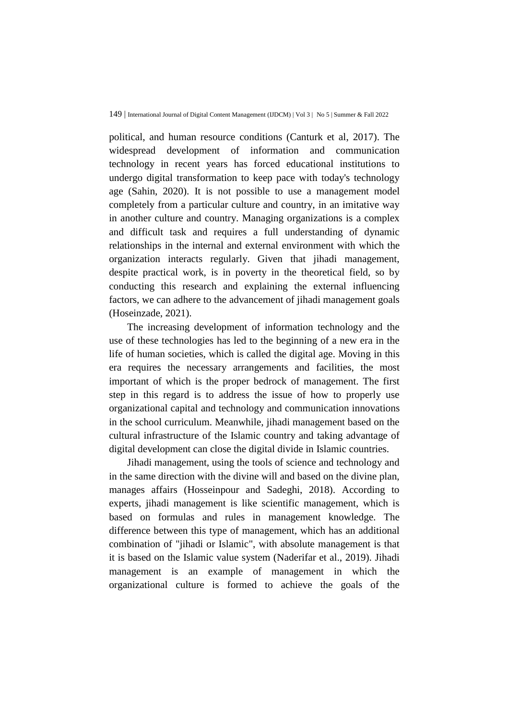political, and human resource conditions (Canturk et al, 2017). The widespread development of information and communication technology in recent years has forced educational institutions to undergo digital transformation to keep pace with today's technology age (Sahin, 2020). It is not possible to use a management model completely from a particular culture and country, in an imitative way in another culture and country. Managing organizations is a complex and difficult task and requires a full understanding of dynamic relationships in the internal and external environment with which the organization interacts regularly. Given that jihadi management, despite practical work, is in poverty in the theoretical field, so by conducting this research and explaining the external influencing factors, we can adhere to the advancement of jihadi management goals (Hoseinzade, 2021).

The increasing development of information technology and the use of these technologies has led to the beginning of a new era in the life of human societies, which is called the digital age. Moving in this era requires the necessary arrangements and facilities, the most important of which is the proper bedrock of management. The first step in this regard is to address the issue of how to properly use organizational capital and technology and communication innovations in the school curriculum. Meanwhile, jihadi management based on the cultural infrastructure of the Islamic country and taking advantage of digital development can close the digital divide in Islamic countries.

Jihadi management, using the tools of science and technology and in the same direction with the divine will and based on the divine plan, manages affairs (Hosseinpour and Sadeghi, 2018). According to experts, jihadi management is like scientific management, which is based on formulas and rules in management knowledge. The difference between this type of management, which has an additional combination of "jihadi or Islamic", with absolute management is that it is based on the Islamic value system (Naderifar et al., 2019). Jihadi management is an example of management in which the organizational culture is formed to achieve the goals of the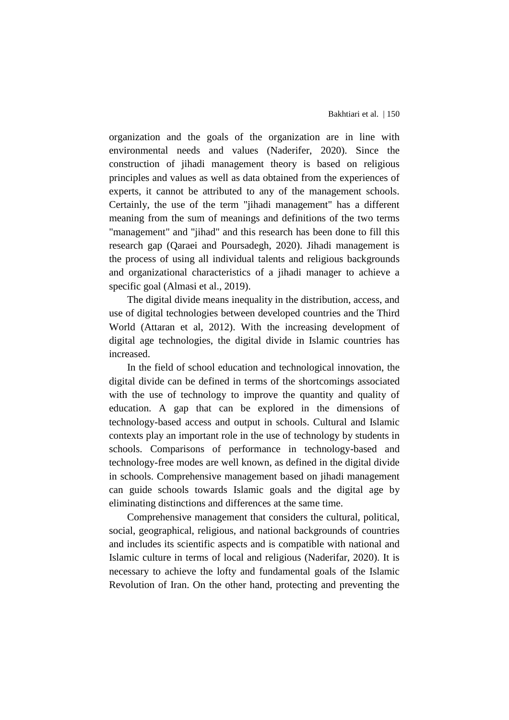organization and the goals of the organization are in line with environmental needs and values (Naderifer, 2020). Since the construction of jihadi management theory is based on religious principles and values as well as data obtained from the experiences of experts, it cannot be attributed to any of the management schools. Certainly, the use of the term "jihadi management" has a different meaning from the sum of meanings and definitions of the two terms "management" and "jihad" and this research has been done to fill this research gap (Qaraei and Poursadegh, 2020). Jihadi management is the process of using all individual talents and religious backgrounds and organizational characteristics of a jihadi manager to achieve a specific goal (Almasi et al., 2019).

The digital divide means inequality in the distribution, access, and use of digital technologies between developed countries and the Third World (Attaran et al, 2012). With the increasing development of digital age technologies, the digital divide in Islamic countries has increased.

In the field of school education and technological innovation, the digital divide can be defined in terms of the shortcomings associated with the use of technology to improve the quantity and quality of education. A gap that can be explored in the dimensions of technology-based access and output in schools. Cultural and Islamic contexts play an important role in the use of technology by students in schools. Comparisons of performance in technology-based and technology-free modes are well known, as defined in the digital divide in schools. Comprehensive management based on jihadi management can guide schools towards Islamic goals and the digital age by eliminating distinctions and differences at the same time.

Comprehensive management that considers the cultural, political, social, geographical, religious, and national backgrounds of countries and includes its scientific aspects and is compatible with national and Islamic culture in terms of local and religious (Naderifar, 2020). It is necessary to achieve the lofty and fundamental goals of the Islamic Revolution of Iran. On the other hand, protecting and preventing the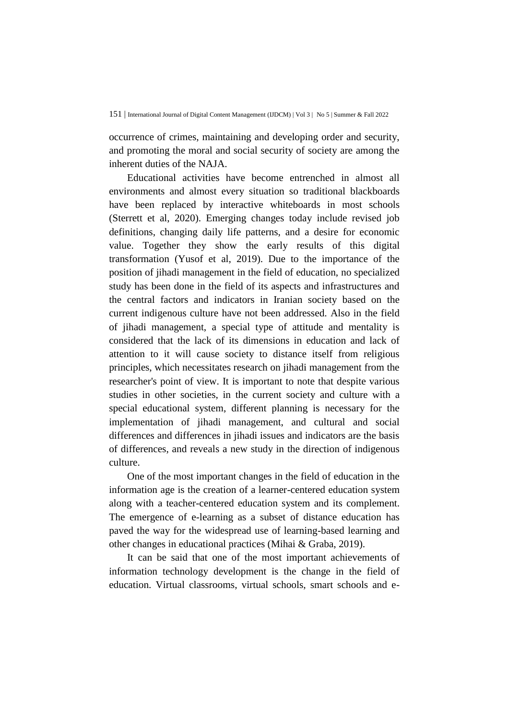occurrence of crimes, maintaining and developing order and security, and promoting the moral and social security of society are among the inherent duties of the NAJA.

Educational activities have become entrenched in almost all environments and almost every situation so traditional blackboards have been replaced by interactive whiteboards in most schools (Sterrett et al, 2020). Emerging changes today include revised job definitions, changing daily life patterns, and a desire for economic value. Together they show the early results of this digital transformation (Yusof et al, 2019). Due to the importance of the position of jihadi management in the field of education, no specialized study has been done in the field of its aspects and infrastructures and the central factors and indicators in Iranian society based on the current indigenous culture have not been addressed. Also in the field of jihadi management, a special type of attitude and mentality is considered that the lack of its dimensions in education and lack of attention to it will cause society to distance itself from religious principles, which necessitates research on jihadi management from the researcher's point of view. It is important to note that despite various studies in other societies, in the current society and culture with a special educational system, different planning is necessary for the implementation of jihadi management, and cultural and social differences and differences in jihadi issues and indicators are the basis of differences, and reveals a new study in the direction of indigenous culture.

One of the most important changes in the field of education in the information age is the creation of a learner-centered education system along with a teacher-centered education system and its complement. The emergence of e-learning as a subset of distance education has paved the way for the widespread use of learning-based learning and other changes in educational practices (Mihai & Graba, 2019).

It can be said that one of the most important achievements of information technology development is the change in the field of education. Virtual classrooms, virtual schools, smart schools and e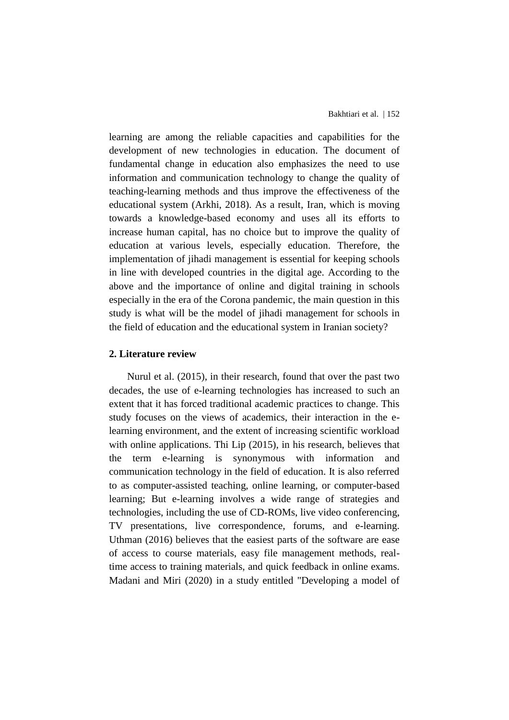learning are among the reliable capacities and capabilities for the development of new technologies in education. The document of fundamental change in education also emphasizes the need to use information and communication technology to change the quality of teaching-learning methods and thus improve the effectiveness of the educational system (Arkhi, 2018). As a result, Iran, which is moving towards a knowledge-based economy and uses all its efforts to increase human capital, has no choice but to improve the quality of education at various levels, especially education. Therefore, the implementation of jihadi management is essential for keeping schools in line with developed countries in the digital age. According to the above and the importance of online and digital training in schools especially in the era of the Corona pandemic, the main question in this study is what will be the model of jihadi management for schools in the field of education and the educational system in Iranian society?

#### **2. Literature review**

Nurul et al. (2015), in their research, found that over the past two decades, the use of e-learning technologies has increased to such an extent that it has forced traditional academic practices to change. This study focuses on the views of academics, their interaction in the elearning environment, and the extent of increasing scientific workload with online applications. Thi Lip (2015), in his research, believes that the term e-learning is synonymous with information and communication technology in the field of education. It is also referred to as computer-assisted teaching, online learning, or computer-based learning; But e-learning involves a wide range of strategies and technologies, including the use of CD-ROMs, live video conferencing, TV presentations, live correspondence, forums, and e-learning. Uthman (2016) believes that the easiest parts of the software are ease of access to course materials, easy file management methods, realtime access to training materials, and quick feedback in online exams. Madani and Miri (2020) in a study entitled "Developing a model of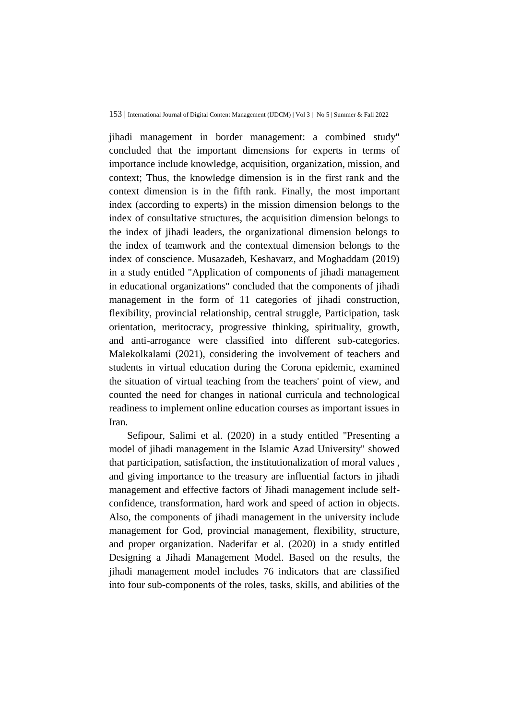jihadi management in border management: a combined study" concluded that the important dimensions for experts in terms of importance include knowledge, acquisition, organization, mission, and context; Thus, the knowledge dimension is in the first rank and the context dimension is in the fifth rank. Finally, the most important index (according to experts) in the mission dimension belongs to the index of consultative structures, the acquisition dimension belongs to the index of jihadi leaders, the organizational dimension belongs to the index of teamwork and the contextual dimension belongs to the index of conscience. Musazadeh, Keshavarz, and Moghaddam (2019) in a study entitled "Application of components of jihadi management in educational organizations" concluded that the components of jihadi management in the form of 11 categories of jihadi construction, flexibility, provincial relationship, central struggle, Participation, task orientation, meritocracy, progressive thinking, spirituality, growth, and anti-arrogance were classified into different sub-categories. Malekolkalami (2021), considering the involvement of teachers and students in virtual education during the Corona epidemic, examined the situation of virtual teaching from the teachers' point of view, and counted the need for changes in national curricula and technological readiness to implement online education courses as important issues in Iran.

Sefipour, Salimi et al. (2020) in a study entitled "Presenting a model of jihadi management in the Islamic Azad University" showed that participation, satisfaction, the institutionalization of moral values , and giving importance to the treasury are influential factors in jihadi management and effective factors of Jihadi management include selfconfidence, transformation, hard work and speed of action in objects. Also, the components of jihadi management in the university include management for God, provincial management, flexibility, structure, and proper organization. Naderifar et al. (2020) in a study entitled Designing a Jihadi Management Model. Based on the results, the jihadi management model includes 76 indicators that are classified into four sub-components of the roles, tasks, skills, and abilities of the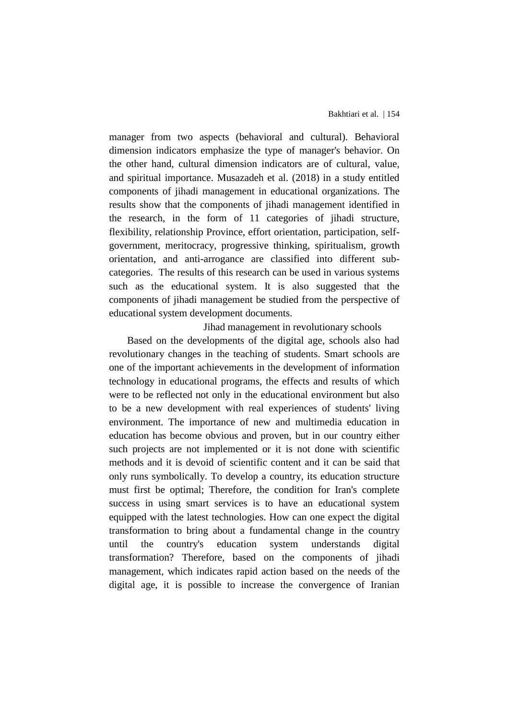manager from two aspects (behavioral and cultural). Behavioral dimension indicators emphasize the type of manager's behavior. On the other hand, cultural dimension indicators are of cultural, value, and spiritual importance. Musazadeh et al. (2018) in a study entitled components of jihadi management in educational organizations. The results show that the components of jihadi management identified in the research, in the form of 11 categories of jihadi structure, flexibility, relationship Province, effort orientation, participation, selfgovernment, meritocracy, progressive thinking, spiritualism, growth orientation, and anti-arrogance are classified into different subcategories. The results of this research can be used in various systems such as the educational system. It is also suggested that the components of jihadi management be studied from the perspective of educational system development documents.

Jihad management in revolutionary schools

Based on the developments of the digital age, schools also had revolutionary changes in the teaching of students. Smart schools are one of the important achievements in the development of information technology in educational programs, the effects and results of which were to be reflected not only in the educational environment but also to be a new development with real experiences of students' living environment. The importance of new and multimedia education in education has become obvious and proven, but in our country either such projects are not implemented or it is not done with scientific methods and it is devoid of scientific content and it can be said that only runs symbolically. To develop a country, its education structure must first be optimal; Therefore, the condition for Iran's complete success in using smart services is to have an educational system equipped with the latest technologies. How can one expect the digital transformation to bring about a fundamental change in the country until the country's education system understands digital transformation? Therefore, based on the components of jihadi management, which indicates rapid action based on the needs of the digital age, it is possible to increase the convergence of Iranian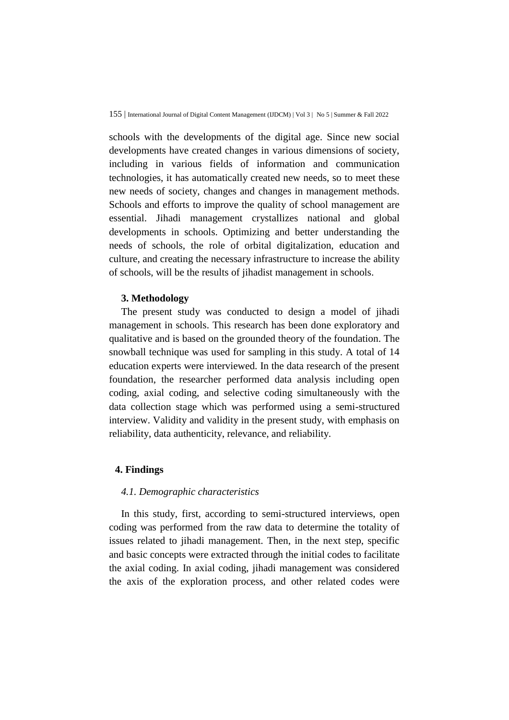schools with the developments of the digital age. Since new social developments have created changes in various dimensions of society, including in various fields of information and communication technologies, it has automatically created new needs, so to meet these new needs of society, changes and changes in management methods. Schools and efforts to improve the quality of school management are essential. Jihadi management crystallizes national and global developments in schools. Optimizing and better understanding the needs of schools, the role of orbital digitalization, education and culture, and creating the necessary infrastructure to increase the ability of schools, will be the results of jihadist management in schools.

#### **3. Methodology**

The present study was conducted to design a model of jihadi management in schools. This research has been done exploratory and qualitative and is based on the grounded theory of the foundation. The snowball technique was used for sampling in this study. A total of 14 education experts were interviewed. In the data research of the present foundation, the researcher performed data analysis including open coding, axial coding, and selective coding simultaneously with the data collection stage which was performed using a semi-structured interview. Validity and validity in the present study, with emphasis on reliability, data authenticity, relevance, and reliability.

#### **4. Findings**

## *4.1. Demographic characteristics*

In this study, first, according to semi-structured interviews, open coding was performed from the raw data to determine the totality of issues related to jihadi management. Then, in the next step, specific and basic concepts were extracted through the initial codes to facilitate the axial coding. In axial coding, jihadi management was considered the axis of the exploration process, and other related codes were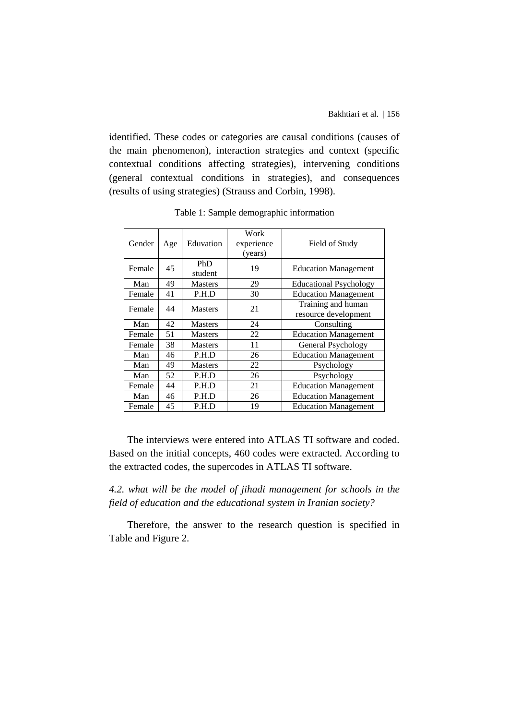identified. These codes or categories are causal conditions (causes of the main phenomenon), interaction strategies and context (specific contextual conditions affecting strategies), intervening conditions (general contextual conditions in strategies), and consequences (results of using strategies) (Strauss and Corbin, 1998).

| Gender | Age | Eduvation      | Work<br>experience<br>(years) | Field of Study                             |
|--------|-----|----------------|-------------------------------|--------------------------------------------|
| Female | 45  | PhD<br>student | 19                            | <b>Education Management</b>                |
| Man    | 49  | <b>Masters</b> | 29                            | <b>Educational Psychology</b>              |
| Female | 41  | P.H.D          | 30                            | <b>Education Management</b>                |
| Female | 44  | <b>Masters</b> | 21                            | Training and human<br>resource development |
| Man    | 42  | <b>Masters</b> | 24                            | Consulting                                 |
| Female | 51  | <b>Masters</b> | 22                            | <b>Education Management</b>                |
| Female | 38  | <b>Masters</b> | 11                            | General Psychology                         |
| Man    | 46  | P.H.D          | 26                            | <b>Education Management</b>                |
| Man    | 49  | <b>Masters</b> | 22                            | Psychology                                 |
| Man    | 52  | P.H.D          | 26                            | Psychology                                 |
| Female | 44  | P.H.D          | 21                            | <b>Education Management</b>                |
| Man    | 46  | P.H.D          | 26                            | <b>Education Management</b>                |
| Female | 45  | P.H.D          | 19                            | <b>Education Management</b>                |

Table 1: Sample demographic information

The interviews were entered into ATLAS TI software and coded. Based on the initial concepts, 460 codes were extracted. According to the extracted codes, the supercodes in ATLAS TI software.

*4.2. what will be the model of jihadi management for schools in the field of education and the educational system in Iranian society?*

Therefore, the answer to the research question is specified in Table and Figure 2.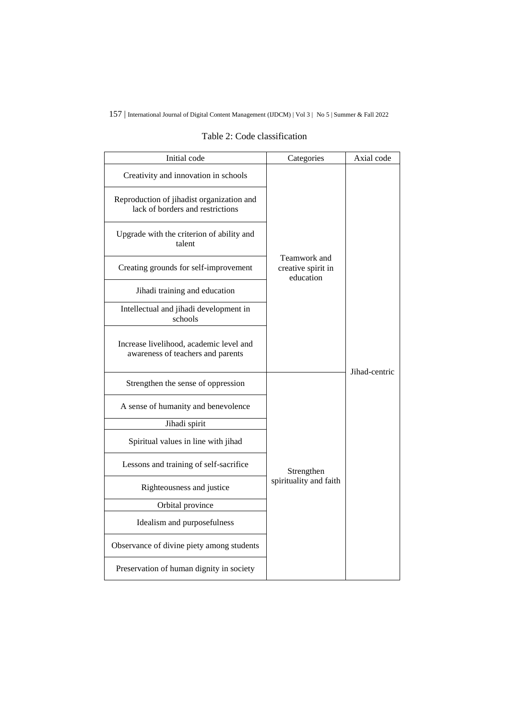# Table 2: Code classification

| Initial code                                                                                                          | Categories                                      | Axial code    |
|-----------------------------------------------------------------------------------------------------------------------|-------------------------------------------------|---------------|
| Creativity and innovation in schools<br>Reproduction of jihadist organization and<br>lack of borders and restrictions |                                                 | Jihad-centric |
| Upgrade with the criterion of ability and<br>talent                                                                   |                                                 |               |
| Creating grounds for self-improvement                                                                                 | Teamwork and<br>creative spirit in<br>education |               |
| Jihadi training and education                                                                                         |                                                 |               |
| Intellectual and jihadi development in<br>schools                                                                     |                                                 |               |
| Increase livelihood, academic level and<br>awareness of teachers and parents                                          |                                                 |               |
| Strengthen the sense of oppression                                                                                    |                                                 |               |
| A sense of humanity and benevolence                                                                                   |                                                 |               |
| Jihadi spirit                                                                                                         |                                                 |               |
| Spiritual values in line with jihad                                                                                   |                                                 |               |
| Lessons and training of self-sacrifice                                                                                | Strengthen                                      |               |
| Righteousness and justice                                                                                             | spirituality and faith                          |               |
| Orbital province                                                                                                      |                                                 |               |
| Idealism and purposefulness                                                                                           |                                                 |               |
| Observance of divine piety among students                                                                             |                                                 |               |
| Preservation of human dignity in society                                                                              |                                                 |               |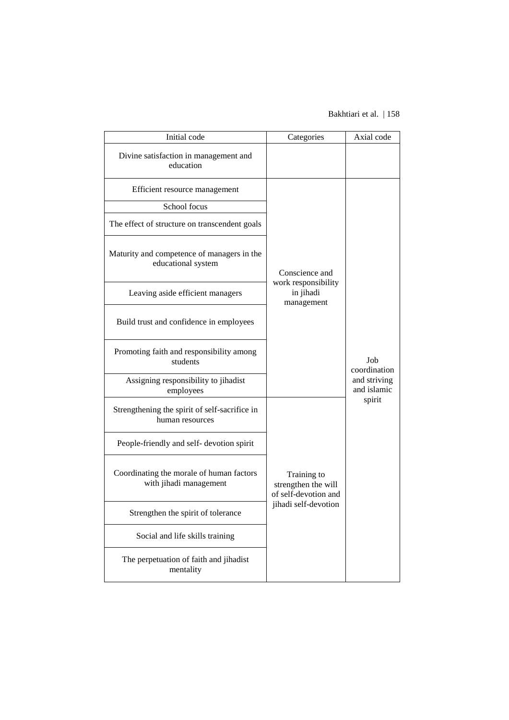## Bakhtiari et al. | 158

| Initial code                                                       | Categories                                                 | Axial code                                         |
|--------------------------------------------------------------------|------------------------------------------------------------|----------------------------------------------------|
| Divine satisfaction in management and<br>education                 |                                                            |                                                    |
| Efficient resource management                                      |                                                            |                                                    |
| School focus                                                       |                                                            |                                                    |
| The effect of structure on transcendent goals                      |                                                            |                                                    |
| Maturity and competence of managers in the<br>educational system   | Conscience and<br>work responsibility                      | Job<br>coordination<br>and striving<br>and islamic |
| Leaving aside efficient managers                                   | in jihadi<br>management                                    |                                                    |
| Build trust and confidence in employees                            |                                                            |                                                    |
| Promoting faith and responsibility among<br>students               |                                                            |                                                    |
| Assigning responsibility to jihadist<br>employees                  |                                                            |                                                    |
| Strengthening the spirit of self-sacrifice in<br>human resources   |                                                            | spirit                                             |
| People-friendly and self- devotion spirit                          |                                                            |                                                    |
| Coordinating the morale of human factors<br>with jihadi management | Training to<br>strengthen the will<br>of self-devotion and |                                                    |
| Strengthen the spirit of tolerance                                 | jihadi self-devotion                                       |                                                    |
| Social and life skills training                                    |                                                            |                                                    |
| The perpetuation of faith and jihadist<br>mentality                |                                                            |                                                    |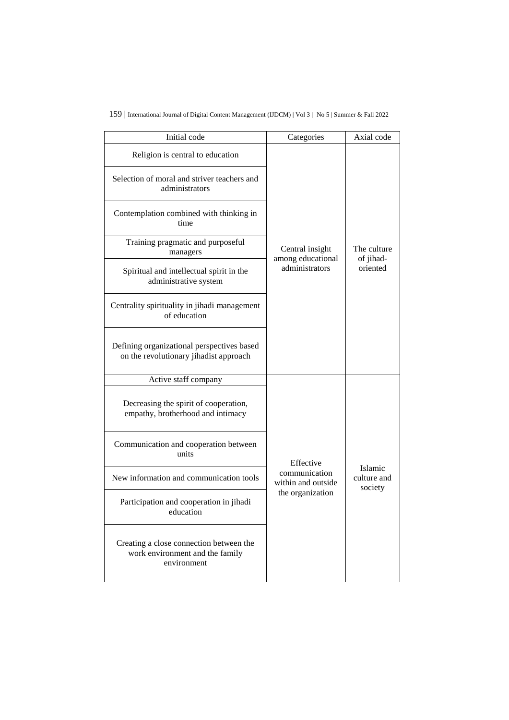| Initial code                                                                                      | Categories                          | Axial code                        |
|---------------------------------------------------------------------------------------------------|-------------------------------------|-----------------------------------|
| Religion is central to education<br>Selection of moral and striver teachers and<br>administrators |                                     |                                   |
| Contemplation combined with thinking in<br>time                                                   |                                     |                                   |
| Training pragmatic and purposeful<br>managers                                                     | Central insight                     | The culture                       |
| Spiritual and intellectual spirit in the<br>administrative system                                 | among educational<br>administrators | of jihad-<br>oriented             |
| Centrality spirituality in jihadi management<br>of education                                      |                                     |                                   |
| Defining organizational perspectives based<br>on the revolutionary jihadist approach              |                                     |                                   |
| Active staff company                                                                              |                                     |                                   |
| Decreasing the spirit of cooperation,<br>empathy, brotherhood and intimacy                        |                                     |                                   |
| Communication and cooperation between<br>units                                                    | Effective                           |                                   |
| New information and communication tools                                                           | communication<br>within and outside | Islamic<br>culture and<br>society |
| Participation and cooperation in jihadi<br>education                                              | the organization                    |                                   |
| Creating a close connection between the<br>work environment and the family<br>environment         |                                     |                                   |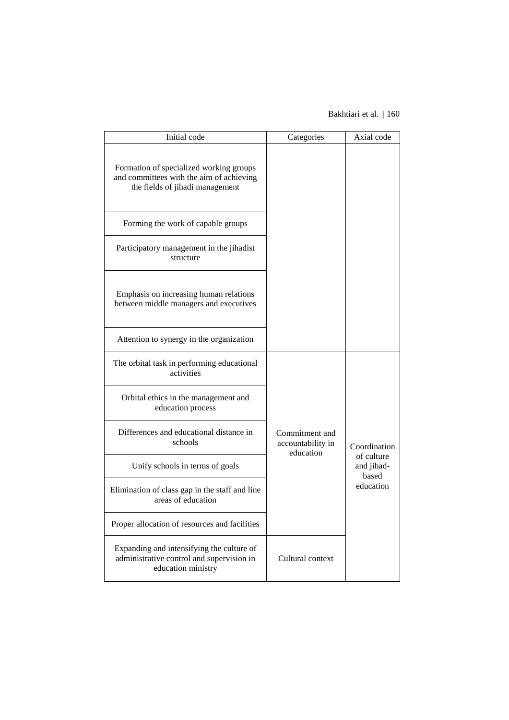## Bakhtiari et al. | 160

| Initial code                                                                                                           | Categories                                       | Axial code                                     |
|------------------------------------------------------------------------------------------------------------------------|--------------------------------------------------|------------------------------------------------|
| Formation of specialized working groups<br>and committees with the aim of achieving<br>the fields of jihadi management |                                                  |                                                |
| Forming the work of capable groups                                                                                     |                                                  |                                                |
| Participatory management in the jihadist<br>structure                                                                  |                                                  |                                                |
| Emphasis on increasing human relations<br>between middle managers and executives                                       |                                                  |                                                |
| Attention to synergy in the organization                                                                               |                                                  |                                                |
| The orbital task in performing educational<br>activities                                                               |                                                  |                                                |
| Orbital ethics in the management and<br>education process                                                              |                                                  |                                                |
| Differences and educational distance in<br>schools                                                                     | Commitment and<br>accountability in<br>education | Coordination                                   |
| Unify schools in terms of goals                                                                                        |                                                  | of culture<br>and jihad-<br>based<br>education |
| Elimination of class gap in the staff and line<br>areas of education                                                   |                                                  |                                                |
| Proper allocation of resources and facilities                                                                          |                                                  |                                                |
| Expanding and intensifying the culture of<br>administrative control and supervision in<br>education ministry           | Cultural context                                 |                                                |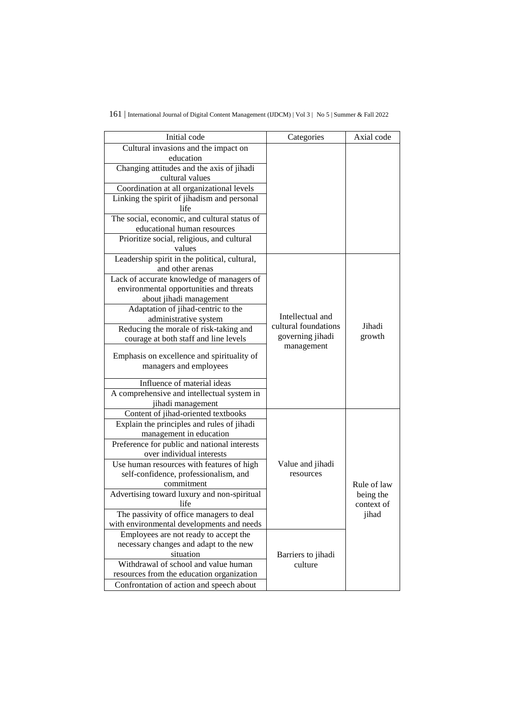| Initial code                                  | Categories           | Axial code  |
|-----------------------------------------------|----------------------|-------------|
| Cultural invasions and the impact on          |                      |             |
| education                                     |                      |             |
| Changing attitudes and the axis of jihadi     |                      |             |
| cultural values                               |                      |             |
| Coordination at all organizational levels     |                      |             |
| Linking the spirit of jihadism and personal   |                      |             |
| life                                          |                      |             |
| The social, economic, and cultural status of  |                      |             |
| educational human resources                   |                      |             |
| Prioritize social, religious, and cultural    |                      |             |
| values                                        |                      |             |
| Leadership spirit in the political, cultural, |                      |             |
| and other arenas                              |                      |             |
| Lack of accurate knowledge of managers of     |                      |             |
| environmental opportunities and threats       |                      |             |
| about jihadi management                       |                      |             |
| Adaptation of jihad-centric to the            | Intellectual and     |             |
| administrative system                         | cultural foundations | Jihadi      |
| Reducing the morale of risk-taking and        | governing jihadi     | growth      |
| courage at both staff and line levels         | management           |             |
| Emphasis on excellence and spirituality of    |                      |             |
| managers and employees                        |                      |             |
|                                               |                      |             |
| Influence of material ideas                   |                      |             |
| A comprehensive and intellectual system in    |                      |             |
| jihadi management                             |                      |             |
| Content of jihad-oriented textbooks           |                      |             |
| Explain the principles and rules of jihadi    |                      |             |
| management in education                       |                      |             |
| Preference for public and national interests  |                      |             |
| over individual interests                     |                      |             |
| Use human resources with features of high     | Value and jihadi     |             |
| self-confidence, professionalism, and         | resources            |             |
| commitment                                    |                      | Rule of law |
| Advertising toward luxury and non-spiritual   |                      | being the   |
| life                                          |                      | context of  |
| The passivity of office managers to deal      |                      | jihad       |
| with environmental developments and needs     |                      |             |
| Employees are not ready to accept the         |                      |             |
| necessary changes and adapt to the new        |                      |             |
| situation                                     | Barriers to jihadi   |             |
| Withdrawal of school and value human          | culture              |             |
| resources from the education organization     |                      |             |
| Confrontation of action and speech about      |                      |             |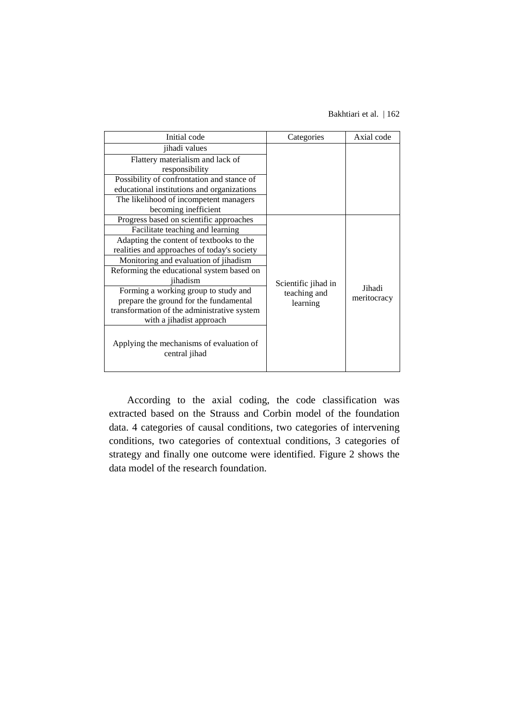#### Bakhtiari et al. | 162

| Initial code                                              | Categories          | Axial code  |
|-----------------------------------------------------------|---------------------|-------------|
| jihadi values                                             |                     |             |
| Flattery materialism and lack of                          |                     |             |
| responsibility                                            |                     |             |
| Possibility of confrontation and stance of                |                     |             |
| educational institutions and organizations                |                     |             |
| The likelihood of incompetent managers                    |                     |             |
| becoming inefficient                                      |                     |             |
| Progress based on scientific approaches                   |                     |             |
| Facilitate teaching and learning                          |                     |             |
| Adapting the content of textbooks to the                  |                     |             |
| realities and approaches of today's society               |                     |             |
| Monitoring and evaluation of jihadism                     |                     |             |
| Reforming the educational system based on                 |                     |             |
| iihadism                                                  | Scientific jihad in |             |
| Forming a working group to study and                      | teaching and        | Jihadi      |
| prepare the ground for the fundamental                    | learning            | meritocracy |
| transformation of the administrative system               |                     |             |
| with a jihadist approach                                  |                     |             |
| Applying the mechanisms of evaluation of<br>central jihad |                     |             |

According to the axial coding, the code classification was extracted based on the Strauss and Corbin model of the foundation data. 4 categories of causal conditions, two categories of intervening conditions, two categories of contextual conditions, 3 categories of strategy and finally one outcome were identified. Figure 2 shows the data model of the research foundation.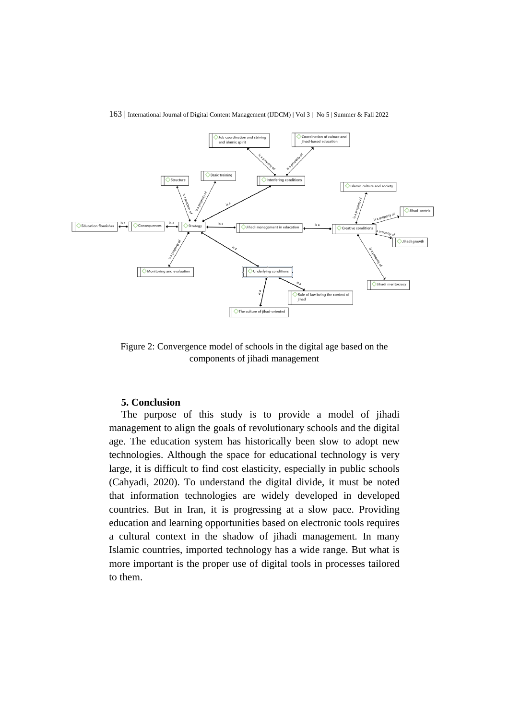

163 | International Journal of Digital Content Management (IJDCM) | Vol 3 | No 5 | Summer & Fall 2022

Figure 2: Convergence model of schools in the digital age based on the components of jihadi management

#### **5. Conclusion**

The purpose of this study is to provide a model of jihadi management to align the goals of revolutionary schools and the digital age. The education system has historically been slow to adopt new technologies. Although the space for educational technology is very large, it is difficult to find cost elasticity, especially in public schools (Cahyadi, 2020). To understand the digital divide, it must be noted that information technologies are widely developed in developed countries. But in Iran, it is progressing at a slow pace. Providing education and learning opportunities based on electronic tools requires a cultural context in the shadow of jihadi management. In many Islamic countries, imported technology has a wide range. But what is more important is the proper use of digital tools in processes tailored to them.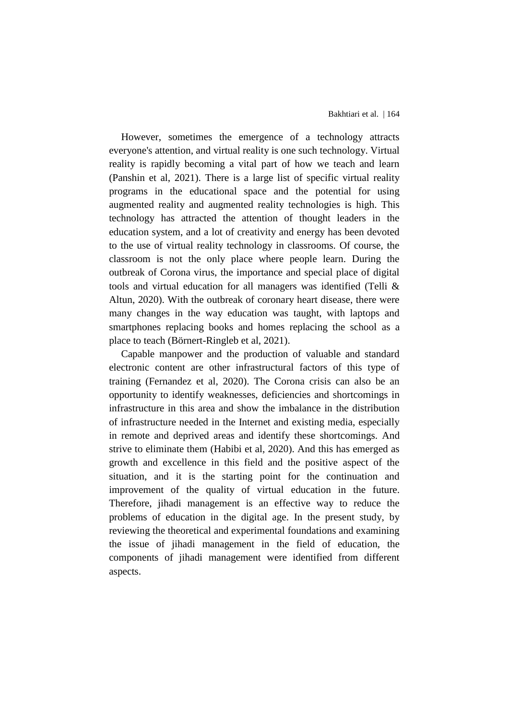However, sometimes the emergence of a technology attracts everyone's attention, and virtual reality is one such technology. Virtual reality is rapidly becoming a vital part of how we teach and learn (Panshin et al, 2021). There is a large list of specific virtual reality programs in the educational space and the potential for using augmented reality and augmented reality technologies is high. This technology has attracted the attention of thought leaders in the education system, and a lot of creativity and energy has been devoted to the use of virtual reality technology in classrooms. Of course, the classroom is not the only place where people learn. During the outbreak of Corona virus, the importance and special place of digital tools and virtual education for all managers was identified (Telli & Altun, 2020). With the outbreak of coronary heart disease, there were many changes in the way education was taught, with laptops and smartphones replacing books and homes replacing the school as a place to teach (Börnert-Ringleb et al, 2021).

Capable manpower and the production of valuable and standard electronic content are other infrastructural factors of this type of training (Fernandez et al, 2020). The Corona crisis can also be an opportunity to identify weaknesses, deficiencies and shortcomings in infrastructure in this area and show the imbalance in the distribution of infrastructure needed in the Internet and existing media, especially in remote and deprived areas and identify these shortcomings. And strive to eliminate them (Habibi et al, 2020). And this has emerged as growth and excellence in this field and the positive aspect of the situation, and it is the starting point for the continuation and improvement of the quality of virtual education in the future. Therefore, jihadi management is an effective way to reduce the problems of education in the digital age. In the present study, by reviewing the theoretical and experimental foundations and examining the issue of jihadi management in the field of education, the components of jihadi management were identified from different aspects.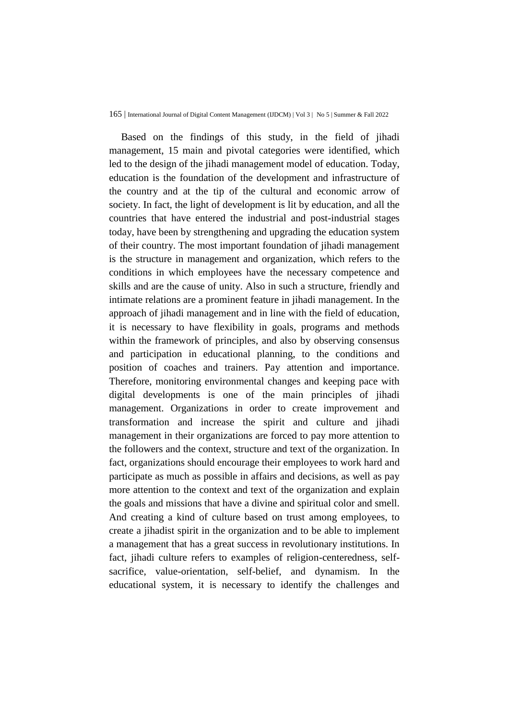Based on the findings of this study, in the field of jihadi management, 15 main and pivotal categories were identified, which led to the design of the jihadi management model of education. Today, education is the foundation of the development and infrastructure of the country and at the tip of the cultural and economic arrow of society. In fact, the light of development is lit by education, and all the countries that have entered the industrial and post-industrial stages today, have been by strengthening and upgrading the education system of their country. The most important foundation of jihadi management is the structure in management and organization, which refers to the conditions in which employees have the necessary competence and skills and are the cause of unity. Also in such a structure, friendly and intimate relations are a prominent feature in jihadi management. In the approach of jihadi management and in line with the field of education, it is necessary to have flexibility in goals, programs and methods within the framework of principles, and also by observing consensus and participation in educational planning, to the conditions and position of coaches and trainers. Pay attention and importance. Therefore, monitoring environmental changes and keeping pace with digital developments is one of the main principles of jihadi management. Organizations in order to create improvement and transformation and increase the spirit and culture and jihadi management in their organizations are forced to pay more attention to the followers and the context, structure and text of the organization. In fact, organizations should encourage their employees to work hard and participate as much as possible in affairs and decisions, as well as pay more attention to the context and text of the organization and explain the goals and missions that have a divine and spiritual color and smell. And creating a kind of culture based on trust among employees, to create a jihadist spirit in the organization and to be able to implement a management that has a great success in revolutionary institutions. In fact, jihadi culture refers to examples of religion-centeredness, selfsacrifice, value-orientation, self-belief, and dynamism. In the educational system, it is necessary to identify the challenges and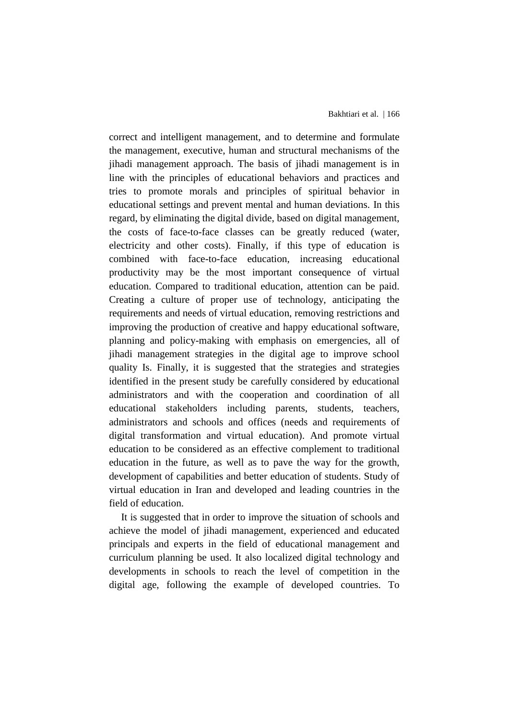correct and intelligent management, and to determine and formulate the management, executive, human and structural mechanisms of the jihadi management approach. The basis of jihadi management is in line with the principles of educational behaviors and practices and tries to promote morals and principles of spiritual behavior in educational settings and prevent mental and human deviations. In this regard, by eliminating the digital divide, based on digital management, the costs of face-to-face classes can be greatly reduced (water, electricity and other costs). Finally, if this type of education is combined with face-to-face education, increasing educational productivity may be the most important consequence of virtual education. Compared to traditional education, attention can be paid. Creating a culture of proper use of technology, anticipating the requirements and needs of virtual education, removing restrictions and improving the production of creative and happy educational software, planning and policy-making with emphasis on emergencies, all of jihadi management strategies in the digital age to improve school quality Is. Finally, it is suggested that the strategies and strategies identified in the present study be carefully considered by educational administrators and with the cooperation and coordination of all educational stakeholders including parents, students, teachers, administrators and schools and offices (needs and requirements of digital transformation and virtual education). And promote virtual education to be considered as an effective complement to traditional education in the future, as well as to pave the way for the growth, development of capabilities and better education of students. Study of virtual education in Iran and developed and leading countries in the field of education.

It is suggested that in order to improve the situation of schools and achieve the model of jihadi management, experienced and educated principals and experts in the field of educational management and curriculum planning be used. It also localized digital technology and developments in schools to reach the level of competition in the digital age, following the example of developed countries. To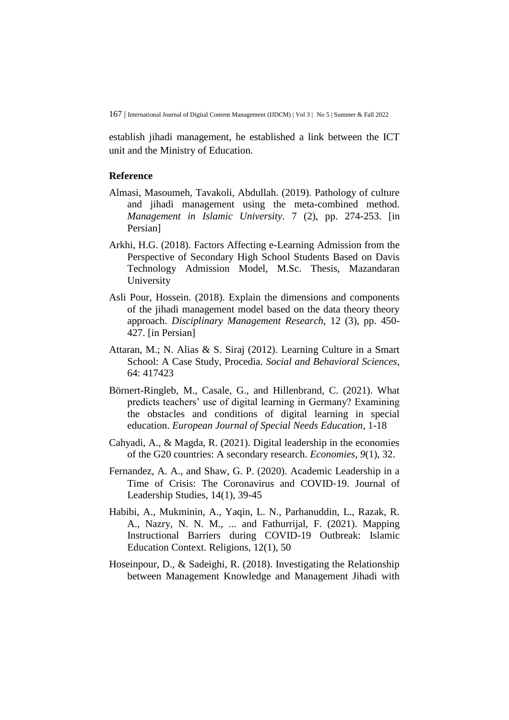establish jihadi management, he established a link between the ICT unit and the Ministry of Education.

### **Reference**

- Almasi, Masoumeh, Tavakoli, Abdullah. (2019). Pathology of culture and jihadi management using the meta-combined method. *Management in Islamic University*. 7 (2), pp. 274-253. [in Persian]
- Arkhi, H.G. (2018). Factors Affecting e-Learning Admission from the Perspective of Secondary High School Students Based on Davis Technology Admission Model, M.Sc. Thesis, Mazandaran University
- Asli Pour, Hossein. (2018). Explain the dimensions and components of the jihadi management model based on the data theory theory approach. *Disciplinary Management Research*, 12 (3), pp. 450- 427. [in Persian]
- Attaran, M.; N. Alias & S. Siraj (2012). Learning Culture in a Smart School: A Case Study, Procedia. *Social and Behavioral Sciences*, 64: 417423
- Börnert-Ringleb, M., Casale, G., and Hillenbrand, C. (2021). What predicts teachers' use of digital learning in Germany? Examining the obstacles and conditions of digital learning in special education. *European Journal of Special Needs Education*, 1-18
- Cahyadi, A., & Magda, R. (2021). Digital leadership in the economies of the G20 countries: A secondary research. *Economies*, *9*(1), 32.
- Fernandez, A. A., and Shaw, G. P. (2020). Academic Leadership in a Time of Crisis: The Coronavirus and COVID‐19. Journal of Leadership Studies, 14(1), 39-45
- Habibi, A., Mukminin, A., Yaqin, L. N., Parhanuddin, L., Razak, R. A., Nazry, N. N. M., ... and Fathurrijal, F. (2021). Mapping Instructional Barriers during COVID-19 Outbreak: Islamic Education Context. Religions, 12(1), 50
- Hoseinpour, D., & Sadeighi, R. (2018). Investigating the Relationship between Management Knowledge and Management Jihadi with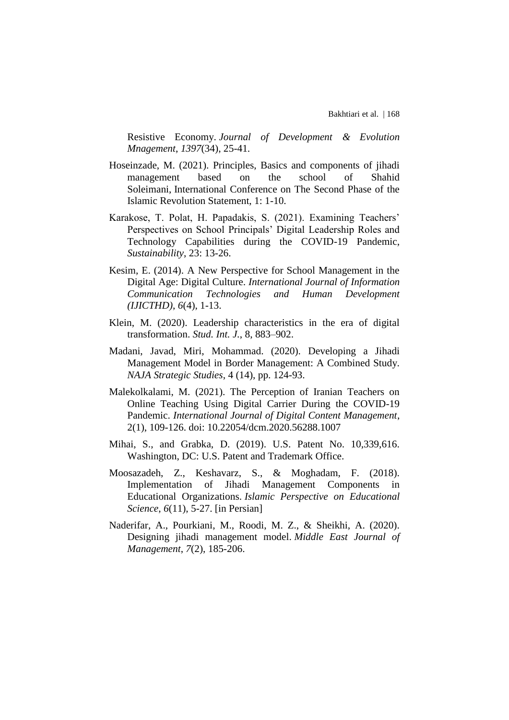Resistive Economy. *Journal of Development & Evolution Mnagement*, *1397*(34), 25-41.

- Hoseinzade, M. (2021). Principles, Basics and components of jihadi management based on the school of Shahid Soleimani, International Conference on The Second Phase of the Islamic Revolution Statement, 1: 1-10.
- Karakose, T. Polat, H. Papadakis, S. (2021). Examining Teachers' Perspectives on School Principals' Digital Leadership Roles and Technology Capabilities during the COVID-19 Pandemic, *[Sustainability](https://www.mdpi.com/journal/sustainability)*, 23: 13-26.
- Kesim, E. (2014). A New Perspective for School Management in the Digital Age: Digital Culture. *International Journal of Information Communication Technologies and Human Development (IJICTHD)*, *6*(4), 1-13.
- Klein, M. (2020). Leadership characteristics in the era of digital transformation. *Stud. Int. J.*, 8, 883–902.
- Madani, Javad, Miri, Mohammad. (2020). Developing a Jihadi Management Model in Border Management: A Combined Study. *NAJA Strategic Studies*, 4 (14), pp. 124-93.
- Malekolkalami, M. (2021). The Perception of Iranian Teachers on Online Teaching Using Digital Carrier During the COVID-19 Pandemic. *International Journal of Digital Content Management*, 2(1), 109-126. doi: 10.22054/dcm.2020.56288.1007
- Mihai, S., and Grabka, D. (2019). U.S. Patent No. 10,339,616. Washington, DC: U.S. Patent and Trademark Office.
- Moosazadeh, Z., Keshavarz, S., & Moghadam, F. (2018). Implementation of Jihadi Management Components in Educational Organizations. *Islamic Perspective on Educational Science*, *6*(11), 5-27. [in Persian]
- Naderifar, A., Pourkiani, M., Roodi, M. Z., & Sheikhi, A. (2020). Designing jihadi management model. *Middle East Journal of Management*, *7*(2), 185-206.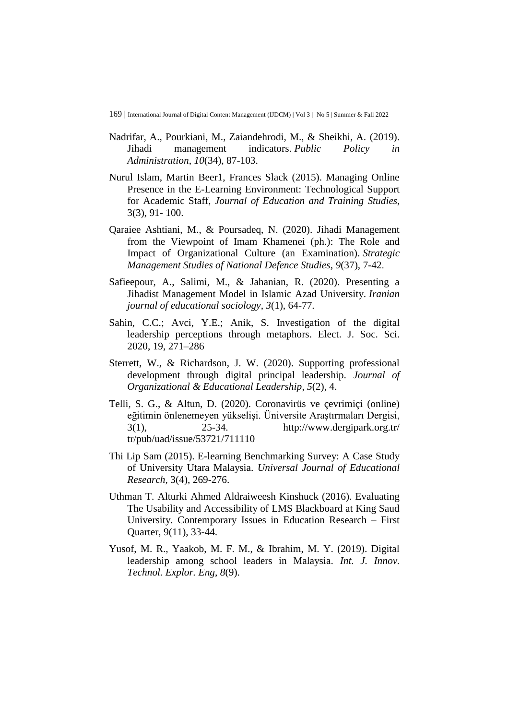- Nadrifar, A., Pourkiani, M., Zaiandehrodi, M., & Sheikhi, A. (2019). Jihadi management indicators. *Public Policy in Administration*, *10*(34), 87-103.
- Nurul Islam, Martin Beer1, Frances Slack (2015). Managing Online Presence in the E-Learning Environment: Technological Support for Academic Staff, *Journal of Education and Training Studies*, 3(3), 91- 100.
- Qaraiee Ashtiani, M., & Poursadeq, N. (2020). Jihadi Management from the Viewpoint of Imam Khamenei (ph.): The Role and Impact of Organizational Culture (an Examination). *Strategic Management Studies of National Defence Studies*, *9*(37), 7-42.
- Safieepour, A., Salimi, M., & Jahanian, R. (2020). Presenting a Jihadist Management Model in Islamic Azad University. *Iranian journal of educational sociology*, *3*(1), 64-77.
- Sahin, C.C.; Avci, Y.E.; Anik, S. Investigation of the digital leadership perceptions through metaphors. Elect. J. Soc. Sci. 2020, 19, 271–286
- Sterrett, W., & Richardson, J. W. (2020). Supporting professional development through digital principal leadership. *Journal of Organizational & Educational Leadership*, *5*(2), 4.
- Telli, S. G., & Altun, D. (2020). Coronavirüs ve çevrimiçi (online) eğitimin önlenemeyen yükselişi. Üniversite Araştırmaları Dergisi, 3(1), 25-34. http://www.dergipark.org.tr/ tr/pub/uad/issue/53721/711110
- Thi Lip Sam (2015). E-learning Benchmarking Survey: A Case Study of University Utara Malaysia. *Universal Journal of Educational Research,* 3(4), 269-276.
- Uthman T. Alturki Ahmed Aldraiweesh Kinshuck (2016). Evaluating The Usability and Accessibility of LMS Blackboard at King Saud University. Contemporary Issues in Education Research – First Quarter, 9(11), 33-44.
- Yusof, M. R., Yaakob, M. F. M., & Ibrahim, M. Y. (2019). Digital leadership among school leaders in Malaysia. *Int. J. Innov. Technol. Explor. Eng*, *8*(9).